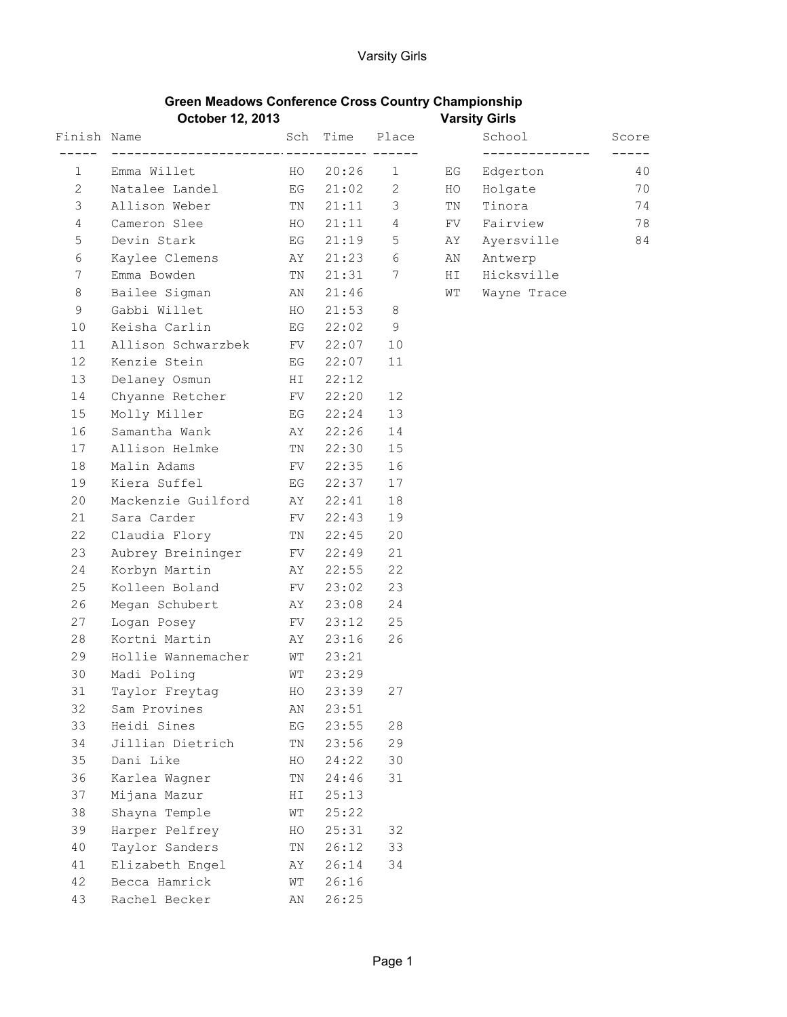| <b>Green Meadows Conference Cross Country Championship</b> |                      |
|------------------------------------------------------------|----------------------|
| October 12, 2013                                           | <b>Varsity Girls</b> |

|                | OULUWUT TE, EVIV           |          |           |                |    | $r$ urvity Virio           |                   |  |
|----------------|----------------------------|----------|-----------|----------------|----|----------------------------|-------------------|--|
| Finish Name    |                            |          |           | Sch Time Place |    | School                     | Score             |  |
| 1              | Emma Willet HO             |          | 20:26     | $\mathbf{1}$   | EG | ______________<br>Edgerton | $- - - - -$<br>40 |  |
| $\mathbf{2}$   | EG<br>Natalee Landel       |          | 21:02 2   |                | HO | Holgate                    | 70                |  |
| 3              | Allison Weber              | TN       | $21:11$ 3 |                | TN | Tinora                     | 74                |  |
| $\overline{4}$ | Cameron Slee HO            |          | $21:11$ 4 |                | FV | Fairview                   | 78                |  |
| 5              | Devin Stark BG BG          |          | 21:19     | 5 <sup>5</sup> | AY | Ayersville                 | 84                |  |
| 6              | Kaylee Clemens AY          |          | $21:23$ 6 |                |    | AN Antwerp                 |                   |  |
| 7              | Emma Bowden                | TN       | 21:31 7   |                | HI | Hicksville                 |                   |  |
| 8              | Bailee Sigman AN           |          | 21:46     |                | WT | Wayne Trace                |                   |  |
| 9              | Gabbi Willet HO            |          | 21:53     | 8              |    |                            |                   |  |
| 10             | Keisha Carlin              | EG       | 22:02     | 9              |    |                            |                   |  |
| 11             | Allison Schwarzbek FV      |          | 22:07     | 10             |    |                            |                   |  |
| 12             | Kenzie Stein BG            |          | 22:07     | 11             |    |                            |                   |  |
| 13             | Delaney Osmun HI           |          | 22:12     |                |    |                            |                   |  |
| 14             | Chyanne Retcher FV         |          | 22:20     | 12             |    |                            |                   |  |
| 15             | Molly Miller<br><b>EG</b>  |          | 22:24     | 13             |    |                            |                   |  |
| 16             | Samantha Wank Mark AY      |          | 22:26     | 14             |    |                            |                   |  |
| 17             | Allison Helmke             | TN       | 22:30     | 15             |    |                            |                   |  |
| 18             | Malin Adams                | FV       | 22:35     | 16             |    |                            |                   |  |
| 19             | Kiera Suffel               | EG       | 22:37     | 17             |    |                            |                   |  |
| 20             | Mackenzie Guilford AY      |          | 22:41     | 18             |    |                            |                   |  |
| 21             | Sara Carder<br><b>EV</b>   |          | 22:43     | 19             |    |                            |                   |  |
| 22             | Claudia Flory TN           |          | 22:45     | 20             |    |                            |                   |  |
| 23             | Aubrey Breininger FV 22:49 |          |           | 21             |    |                            |                   |  |
| 24             | Korbyn Martin AY           |          | 22:55     | 22             |    |                            |                   |  |
| 25             | Kolleen Boland FV          |          | 23:02     | 23             |    |                            |                   |  |
| 26             | Megan Schubert AY          |          | 23:08     | 24             |    |                            |                   |  |
| 27             | Logan Posey                | FV       | 23:12     | 25             |    |                            |                   |  |
| 28             | Kortni Martin Martin       |          | 23:16     | 26             |    |                            |                   |  |
| 29             | Hollie Wannemacher         | WT       | 23:21     |                |    |                            |                   |  |
| 30             | Madi Poling                | WT       | 23:29     |                |    |                            |                   |  |
| 31             | Taylor Freytag             | HO       | 23:39     | 27             |    |                            |                   |  |
| 32             | Sam Provines               | ΑN       | 23:51     |                |    |                            |                   |  |
| 33             | Heidi Sines                | ΕG       | 23:55     | 28             |    |                            |                   |  |
| 34             | Jillian Dietrich           | TN       | 23:56     | 29             |    |                            |                   |  |
| 35             | Dani Like                  | HO       | 24:22     | 30             |    |                            |                   |  |
| 36             | Karlea Wagner              | ΤN       | 24:46     | 31             |    |                            |                   |  |
| 37             | Mijana Mazur               | ΗI       | 25:13     |                |    |                            |                   |  |
| 38             | Shayna Temple              | WΤ       | 25:22     |                |    |                            |                   |  |
| 39             | Harper Pelfrey             | HO       | 25:31     | 32             |    |                            |                   |  |
| 40             | Taylor Sanders             | $\rm TN$ | 26:12     | 33             |    |                            |                   |  |
| 41             | Elizabeth Engel            | AΥ       | 26:14     | 34             |    |                            |                   |  |
| 42             | Becca Hamrick              | WТ       | 26:16     |                |    |                            |                   |  |
| 43             | Rachel Becker              | ΑN       | 26:25     |                |    |                            |                   |  |
|                |                            |          |           |                |    |                            |                   |  |